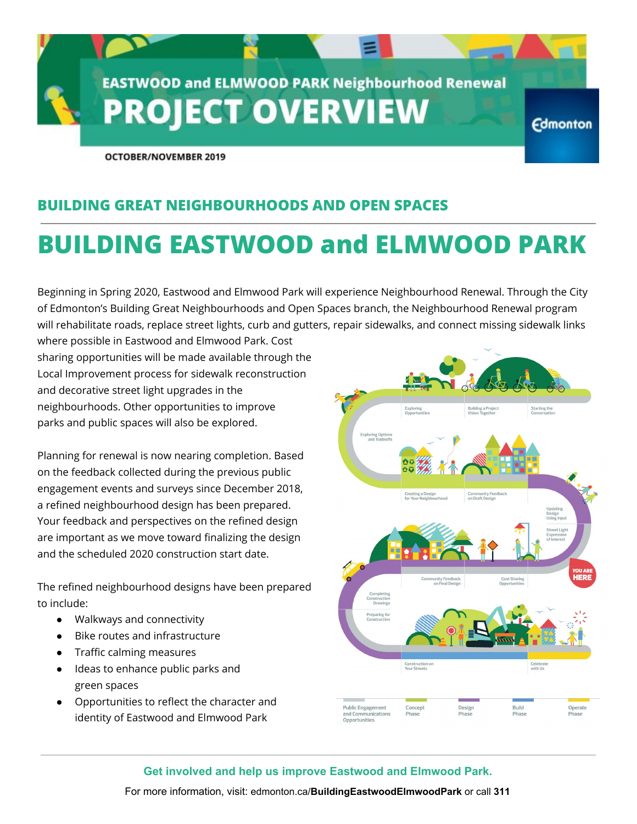

**OCTOBER/NOVEMBER 2019** 

## **BUILDING GREAT NEIGHBOURHOODS AND OPEN SPACES**

# **BUILDING EASTWOOD and ELMWOOD PARK**

Beginning in Spring 2020, Eastwood and Elmwood Park will experience Neighbourhood Renewal. Through the City of Edmonton's Building Great Neighbourhoods and Open Spaces branch, the Neighbourhood Renewal program will rehabilitate roads, replace street lights, curb and gutters, repair sidewalks, and connect missing sidewalk links

where possible in Eastwood and Elmwood Park. Cost sharing opportunities will be made available through the Local Improvement process for sidewalk reconstruction and decorative street light upgrades in the neighbourhoods. Other opportunities to improve parks and public spaces will also be explored.

Planning for renewal is now nearing completion. Based on the feedback collected during the previous public engagement events and surveys since December 2018, a refined neighbourhood design has been prepared. Your feedback and perspectives on the refined design are important as we move toward finalizing the design and the scheduled 2020 construction start date.

The refined neighbourhood designs have been prepared to include:

- Walkways and connectivity
- Bike routes and infrastructure
- Traffic calming measures
- Ideas to enhance public parks and green spaces
- Opportunities to reflect the character and identity of Eastwood and Elmwood Park



#### **Get involved and help us improve Eastwood and Elmwood Park.**

For more information, visit: edmonton.ca/**BuildingEastwoodElmwoodPark** or call **311**